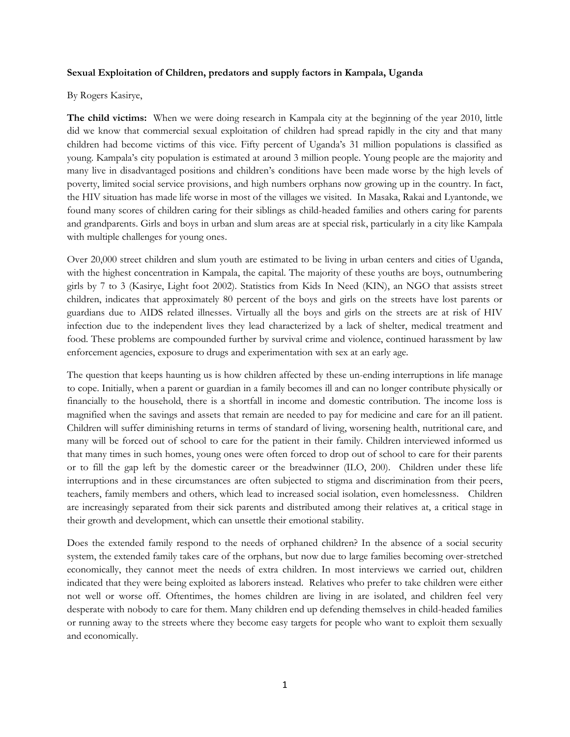## **Sexual Exploitation of Children, predators and supply factors in Kampala, Uganda**

## By Rogers Kasirye,

**The child victims:** When we were doing research in Kampala city at the beginning of the year 2010, little did we know that commercial sexual exploitation of children had spread rapidly in the city and that many children had become victims of this vice. Fifty percent of Uganda's 31 million populations is classified as young. Kampala's city population is estimated at around 3 million people. Young people are the majority and many live in disadvantaged positions and children's conditions have been made worse by the high levels of poverty, limited social service provisions, and high numbers orphans now growing up in the country. In fact, the HIV situation has made life worse in most of the villages we visited. In Masaka, Rakai and Lyantonde, we found many scores of children caring for their siblings as child-headed families and others caring for parents and grandparents. Girls and boys in urban and slum areas are at special risk, particularly in a city like Kampala with multiple challenges for young ones.

Over 20,000 street children and slum youth are estimated to be living in urban centers and cities of Uganda, with the highest concentration in Kampala, the capital. The majority of these youths are boys, outnumbering girls by 7 to 3 (Kasirye, Light foot 2002). Statistics from Kids In Need (KIN), an NGO that assists street children, indicates that approximately 80 percent of the boys and girls on the streets have lost parents or guardians due to AIDS related illnesses. Virtually all the boys and girls on the streets are at risk of HIV infection due to the independent lives they lead characterized by a lack of shelter, medical treatment and food. These problems are compounded further by survival crime and violence, continued harassment by law enforcement agencies, exposure to drugs and experimentation with sex at an early age.

The question that keeps haunting us is how children affected by these un-ending interruptions in life manage to cope. Initially, when a parent or guardian in a family becomes ill and can no longer contribute physically or financially to the household, there is a shortfall in income and domestic contribution. The income loss is magnified when the savings and assets that remain are needed to pay for medicine and care for an ill patient. Children will suffer diminishing returns in terms of standard of living, worsening health, nutritional care, and many will be forced out of school to care for the patient in their family. Children interviewed informed us that many times in such homes, young ones were often forced to drop out of school to care for their parents or to fill the gap left by the domestic career or the breadwinner (ILO, 200). Children under these life interruptions and in these circumstances are often subjected to stigma and discrimination from their peers, teachers, family members and others, which lead to increased social isolation, even homelessness. Children are increasingly separated from their sick parents and distributed among their relatives at, a critical stage in their growth and development, which can unsettle their emotional stability.

Does the extended family respond to the needs of orphaned children? In the absence of a social security system, the extended family takes care of the orphans, but now due to large families becoming over-stretched economically, they cannot meet the needs of extra children. In most interviews we carried out, children indicated that they were being exploited as laborers instead. Relatives who prefer to take children were either not well or worse off. Oftentimes, the homes children are living in are isolated, and children feel very desperate with nobody to care for them. Many children end up defending themselves in child-headed families or running away to the streets where they become easy targets for people who want to exploit them sexually and economically.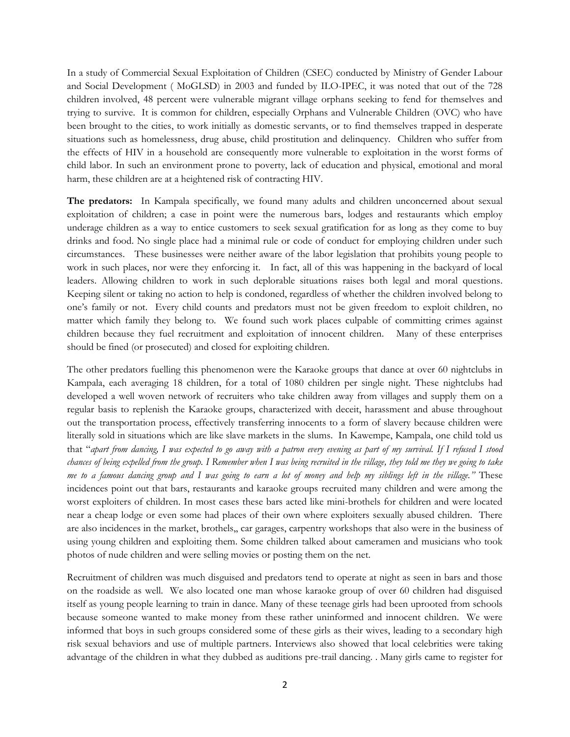In a study of Commercial Sexual Exploitation of Children (CSEC) conducted by Ministry of Gender Labour and Social Development ( MoGLSD) in 2003 and funded by ILO-IPEC, it was noted that out of the 728 children involved, 48 percent were vulnerable migrant village orphans seeking to fend for themselves and trying to survive. It is common for children, especially Orphans and Vulnerable Children (OVC) who have been brought to the cities, to work initially as domestic servants, or to find themselves trapped in desperate situations such as homelessness, drug abuse, child prostitution and delinquency. Children who suffer from the effects of HIV in a household are consequently more vulnerable to exploitation in the worst forms of child labor. In such an environment prone to poverty, lack of education and physical, emotional and moral harm, these children are at a heightened risk of contracting HIV.

**The predators:** In Kampala specifically, we found many adults and children unconcerned about sexual exploitation of children; a case in point were the numerous bars, lodges and restaurants which employ underage children as a way to entice customers to seek sexual gratification for as long as they come to buy drinks and food. No single place had a minimal rule or code of conduct for employing children under such circumstances. These businesses were neither aware of the labor legislation that prohibits young people to work in such places, nor were they enforcing it. In fact, all of this was happening in the backyard of local leaders. Allowing children to work in such deplorable situations raises both legal and moral questions. Keeping silent or taking no action to help is condoned, regardless of whether the children involved belong to one's family or not. Every child counts and predators must not be given freedom to exploit children, no matter which family they belong to. We found such work places culpable of committing crimes against children because they fuel recruitment and exploitation of innocent children. Many of these enterprises should be fined (or prosecuted) and closed for exploiting children.

The other predators fuelling this phenomenon were the Karaoke groups that dance at over 60 nightclubs in Kampala, each averaging 18 children, for a total of 1080 children per single night. These nightclubs had developed a well woven network of recruiters who take children away from villages and supply them on a regular basis to replenish the Karaoke groups, characterized with deceit, harassment and abuse throughout out the transportation process, effectively transferring innocents to a form of slavery because children were literally sold in situations which are like slave markets in the slums. In Kawempe, Kampala, one child told us that "*apart from dancing, I was expected to go away with a patron every evening as part of my survival. If I refused I stood chances of being expelled from the group. I Remember when I was being recruited in the village, they told me they we going to take me to a famous dancing group and I was going to earn a lot of money and help my siblings left in the village."* These incidences point out that bars, restaurants and karaoke groups recruited many children and were among the worst exploiters of children. In most cases these bars acted like mini-brothels for children and were located near a cheap lodge or even some had places of their own where exploiters sexually abused children. There are also incidences in the market, brothels,, car garages, carpentry workshops that also were in the business of using young children and exploiting them. Some children talked about cameramen and musicians who took photos of nude children and were selling movies or posting them on the net.

Recruitment of children was much disguised and predators tend to operate at night as seen in bars and those on the roadside as well. We also located one man whose karaoke group of over 60 children had disguised itself as young people learning to train in dance. Many of these teenage girls had been uprooted from schools because someone wanted to make money from these rather uninformed and innocent children. We were informed that boys in such groups considered some of these girls as their wives, leading to a secondary high risk sexual behaviors and use of multiple partners. Interviews also showed that local celebrities were taking advantage of the children in what they dubbed as auditions pre-trail dancing. . Many girls came to register for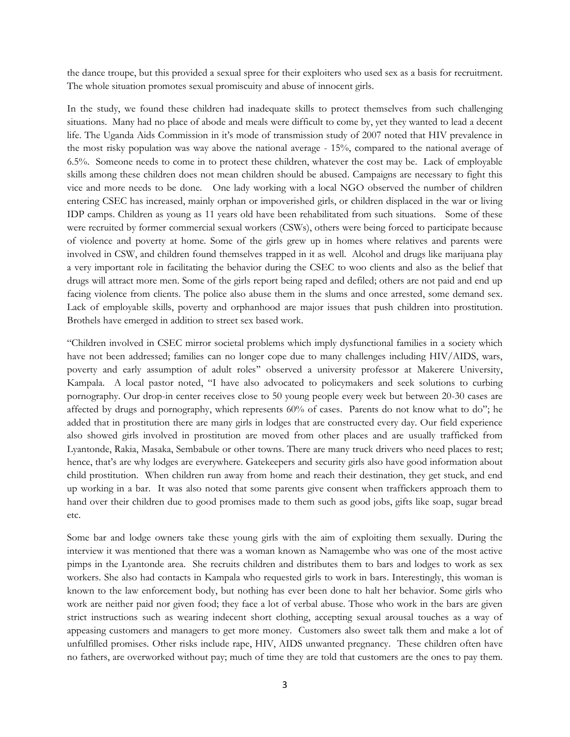the dance troupe, but this provided a sexual spree for their exploiters who used sex as a basis for recruitment. The whole situation promotes sexual promiscuity and abuse of innocent girls.

In the study, we found these children had inadequate skills to protect themselves from such challenging situations. Many had no place of abode and meals were difficult to come by, yet they wanted to lead a decent life. The Uganda Aids Commission in it's mode of transmission study of 2007 noted that HIV prevalence in the most risky population was way above the national average - 15%, compared to the national average of 6.5%. Someone needs to come in to protect these children, whatever the cost may be. Lack of employable skills among these children does not mean children should be abused. Campaigns are necessary to fight this vice and more needs to be done. One lady working with a local NGO observed the number of children entering CSEC has increased, mainly orphan or impoverished girls, or children displaced in the war or living IDP camps. Children as young as 11 years old have been rehabilitated from such situations. Some of these were recruited by former commercial sexual workers (CSWs), others were being forced to participate because of violence and poverty at home. Some of the girls grew up in homes where relatives and parents were involved in CSW, and children found themselves trapped in it as well. Alcohol and drugs like marijuana play a very important role in facilitating the behavior during the CSEC to woo clients and also as the belief that drugs will attract more men. Some of the girls report being raped and defiled; others are not paid and end up facing violence from clients. The police also abuse them in the slums and once arrested, some demand sex. Lack of employable skills, poverty and orphanhood are major issues that push children into prostitution. Brothels have emerged in addition to street sex based work.

"Children involved in CSEC mirror societal problems which imply dysfunctional families in a society which have not been addressed; families can no longer cope due to many challenges including HIV/AIDS, wars, poverty and early assumption of adult roles'' observed a university professor at Makerere University, Kampala. A local pastor noted, "I have also advocated to policymakers and seek solutions to curbing pornography. Our drop-in center receives close to 50 young people every week but between 20-30 cases are affected by drugs and pornography, which represents 60% of cases. Parents do not know what to do"; he added that in prostitution there are many girls in lodges that are constructed every day. Our field experience also showed girls involved in prostitution are moved from other places and are usually trafficked from Lyantonde, Rakia, Masaka, Sembabule or other towns. There are many truck drivers who need places to rest; hence, that's are why lodges are everywhere. Gatekeepers and security girls also have good information about child prostitution. When children run away from home and reach their destination, they get stuck, and end up working in a bar. It was also noted that some parents give consent when traffickers approach them to hand over their children due to good promises made to them such as good jobs, gifts like soap, sugar bread etc.

Some bar and lodge owners take these young girls with the aim of exploiting them sexually. During the interview it was mentioned that there was a woman known as Namagembe who was one of the most active pimps in the Lyantonde area. She recruits children and distributes them to bars and lodges to work as sex workers. She also had contacts in Kampala who requested girls to work in bars. Interestingly, this woman is known to the law enforcement body, but nothing has ever been done to halt her behavior. Some girls who work are neither paid nor given food; they face a lot of verbal abuse. Those who work in the bars are given strict instructions such as wearing indecent short clothing, accepting sexual arousal touches as a way of appeasing customers and managers to get more money. Customers also sweet talk them and make a lot of unfulfilled promises. Other risks include rape, HIV, AIDS unwanted pregnancy. These children often have no fathers, are overworked without pay; much of time they are told that customers are the ones to pay them.